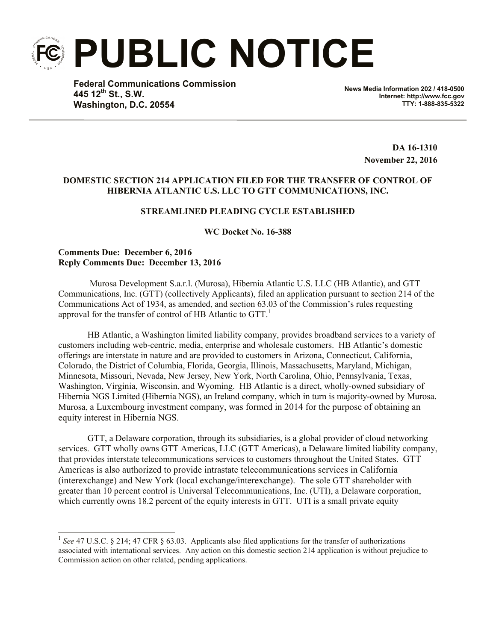**PUBLIC NOTICE**

**Federal Communications Commission 445 12th St., S.W. Washington, D.C. 20554**

**News Media Information 202 / 418-0500 Internet: http://www.fcc.gov TTY: 1-888-835-5322**

> **DA 16-1310 November 22, 2016**

## **DOMESTIC SECTION 214 APPLICATION FILED FOR THE TRANSFER OF CONTROL OF HIBERNIA ATLANTIC U.S. LLC TO GTT COMMUNICATIONS, INC.**

# **STREAMLINED PLEADING CYCLE ESTABLISHED**

**WC Docket No. 16-388**

## **Comments Due: December 6, 2016 Reply Comments Due: December 13, 2016**

 $\overline{a}$ 

Murosa Development S.a.r.l. (Murosa), Hibernia Atlantic U.S. LLC (HB Atlantic), and GTT Communications, Inc. (GTT) (collectively Applicants), filed an application pursuant to section 214 of the Communications Act of 1934, as amended, and section 63.03 of the Commission's rules requesting approval for the transfer of control of HB Atlantic to  $GTT$ .

HB Atlantic, a Washington limited liability company, provides broadband services to a variety of customers including web-centric, media, enterprise and wholesale customers. HB Atlantic's domestic offerings are interstate in nature and are provided to customers in Arizona, Connecticut, California, Colorado, the District of Columbia, Florida, Georgia, Illinois, Massachusetts, Maryland, Michigan, Minnesota, Missouri, Nevada, New Jersey, New York, North Carolina, Ohio, Pennsylvania, Texas, Washington, Virginia, Wisconsin, and Wyoming. HB Atlantic is a direct, wholly-owned subsidiary of Hibernia NGS Limited (Hibernia NGS), an Ireland company, which in turn is majority-owned by Murosa. Murosa, a Luxembourg investment company, was formed in 2014 for the purpose of obtaining an equity interest in Hibernia NGS.

GTT, a Delaware corporation, through its subsidiaries, is a global provider of cloud networking services. GTT wholly owns GTT Americas, LLC (GTT Americas), a Delaware limited liability company, that provides interstate telecommunications services to customers throughout the United States. GTT Americas is also authorized to provide intrastate telecommunications services in California (interexchange) and New York (local exchange/interexchange). The sole GTT shareholder with greater than 10 percent control is Universal Telecommunications, Inc. (UTI), a Delaware corporation, which currently owns 18.2 percent of the equity interests in GTT. UTI is a small private equity

<sup>&</sup>lt;sup>1</sup> See 47 U.S.C. § 214; 47 CFR § 63.03. Applicants also filed applications for the transfer of authorizations associated with international services. Any action on this domestic section 214 application is without prejudice to Commission action on other related, pending applications.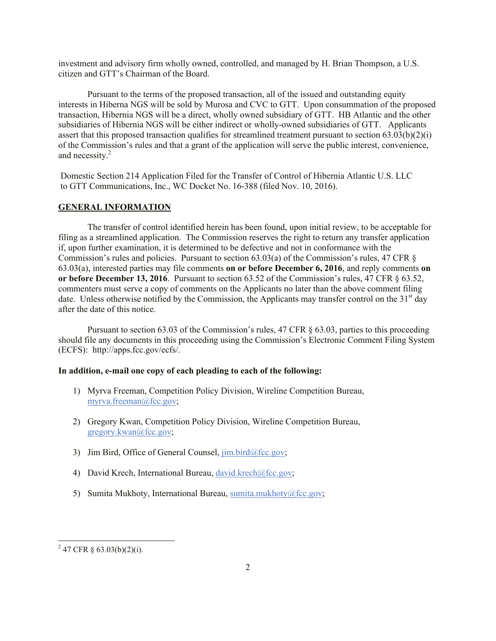investment and advisory firm wholly owned, controlled, and managed by H. Brian Thompson, a U.S. citizen and GTT's Chairman of the Board.

Pursuant to the terms of the proposed transaction, all of the issued and outstanding equity interests in Hiberna NGS will be sold by Murosa and CVC to GTT. Upon consummation of the proposed transaction, Hibernia NGS will be a direct, wholly owned subsidiary of GTT. HB Atlantic and the other subsidiaries of Hibernia NGS will be either indirect or wholly-owned subsidiaries of GTT. Applicants assert that this proposed transaction qualifies for streamlined treatment pursuant to section 63.03(b)(2)(i) of the Commission's rules and that a grant of the application will serve the public interest, convenience, and necessity.<sup>2</sup>

Domestic Section 214 Application Filed for the Transfer of Control of Hibernia Atlantic U.S. LLC to GTT Communications, Inc., WC Docket No. 16-388 (filed Nov. 10, 2016).

### **GENERAL INFORMATION**

The transfer of control identified herein has been found, upon initial review, to be acceptable for filing as a streamlined application. The Commission reserves the right to return any transfer application if, upon further examination, it is determined to be defective and not in conformance with the Commission's rules and policies. Pursuant to section 63.03(a) of the Commission's rules, 47 CFR § 63.03(a), interested parties may file comments **on or before December 6, 2016**, and reply comments **on or before December 13, 2016**. Pursuant to section 63.52 of the Commission's rules, 47 CFR § 63.52, commenters must serve a copy of comments on the Applicants no later than the above comment filing date. Unless otherwise notified by the Commission, the Applicants may transfer control on the 31<sup>st</sup> day after the date of this notice.

Pursuant to section 63.03 of the Commission's rules, 47 CFR § 63.03, parties to this proceeding should file any documents in this proceeding using the Commission's Electronic Comment Filing System (ECFS): http://apps.fcc.gov/ecfs/.

### **In addition, e-mail one copy of each pleading to each of the following:**

- 1) Myrva Freeman, Competition Policy Division, Wireline Competition Bureau, myrva.freeman@fcc.gov;
- 2) Gregory Kwan, Competition Policy Division, Wireline Competition Bureau, gregory.kwan@fcc.gov;
- 3) Jim Bird, Office of General Counsel,  $\lim_{\Delta x \to 0}$  bird@fcc.gov;
- 4) David Krech, International Bureau, david.krech@fcc.gov;
- 5) Sumita Mukhoty, International Bureau, sumita.mukhoty@fcc.gov;

l

 $^{2}$  47 CFR § 63.03(b)(2)(i).